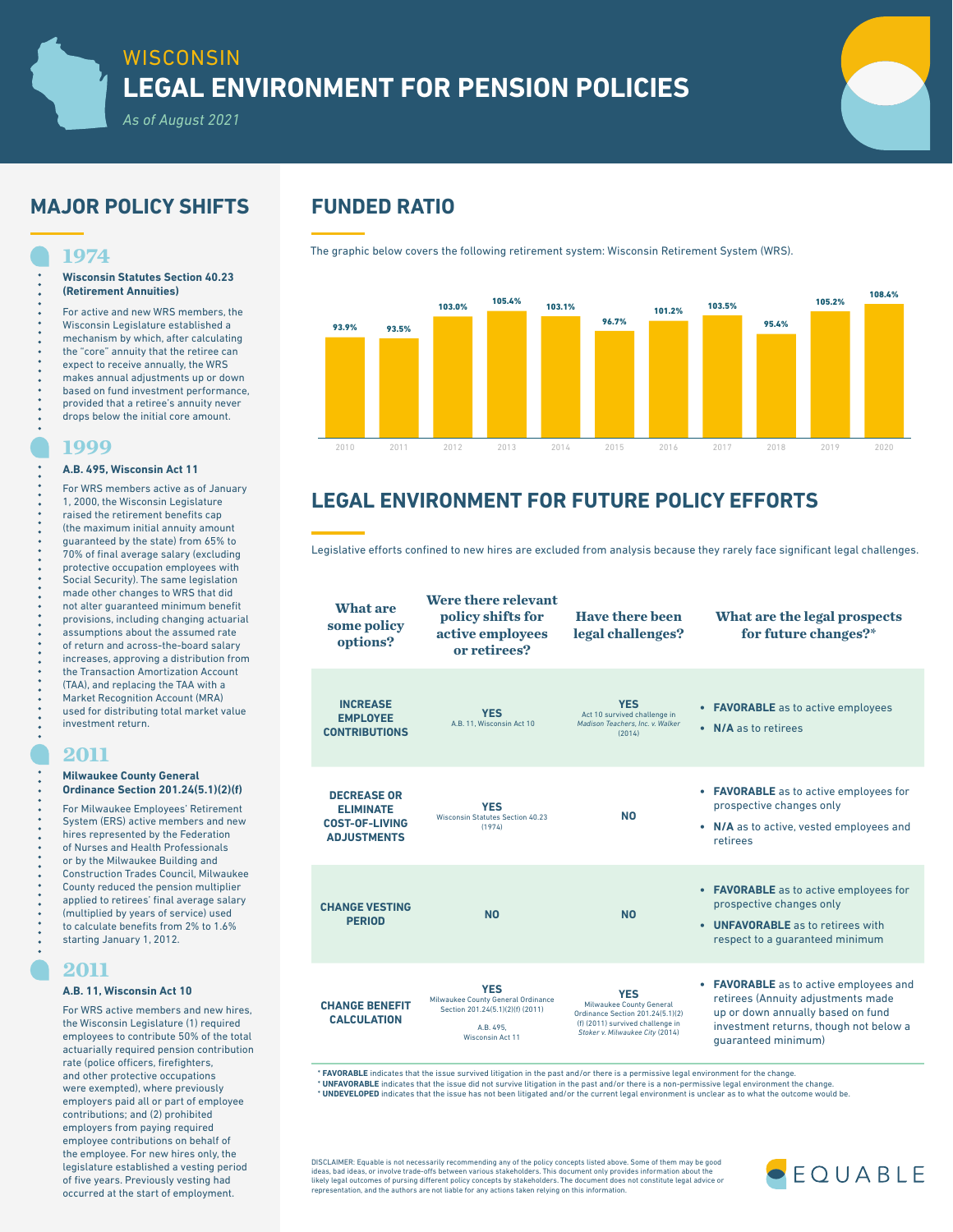# **MAJOR POLICY SHIFTS FUNDED RATIO**

## **1974**

### **Wisconsin Statutes Section 40.23 (Retirement Annuities)**

For active and new WRS members, the Wisconsin Legislature established a mechanism by which, after calculating the "core" annuity that the retiree can expect to receive annually, the WRS makes annual adjustments up or down based on fund investment performance, provided that a retiree's annuity never drops below the initial core amount.

# **1999**

## **A.B. 495, Wisconsin Act 11**

For WRS members active as of January 1, 2000, the Wisconsin Legislature raised the retirement benefits cap (the maximum initial annuity amount guaranteed by the state) from 65% to 70% of final average salary (excluding protective occupation employees with Social Security). The same legislation made other changes to WRS that did not alter guaranteed minimum benefit provisions, including changing actuarial assumptions about the assumed rate of return and across-the-board salary increases, approving a distribution from the Transaction Amortization Account (TAA), and replacing the TAA with a Market Recognition Account (MRA) used for distributing total market value investment return.

## **2011**

### **Milwaukee County General Ordinance Section 201.24(5.1)(2)(f)**

For Milwaukee Employees' Retirement System (ERS) active members and new hires represented by the Federation of Nurses and Health Professionals or by the Milwaukee Building and Construction Trades Council, Milwaukee County reduced the pension multiplier applied to retirees' final average salary (multiplied by years of service) used to calculate benefits from 2% to 1.6% starting January 1, 2012.

## **2011**

## **A.B. 11, Wisconsin Act 10**

For WRS active members and new hires, the Wisconsin Legislature (1) required employees to contribute 50% of the total actuarially required pension contribution rate (police officers, firefighters, and other protective occupations were exempted), where previously employers paid all or part of employee contributions; and (2) prohibited employers from paying required employee contributions on behalf of the employee. For new hires only, the legislature established a vesting period of five years. Previously vesting had occurred at the start of employment.

The graphic below covers the following retirement system: Wisconsin Retirement System (WRS).



# **LEGAL ENVIRONMENT FOR FUTURE POLICY EFFORTS**

Legislative efforts confined to new hires are excluded from analysis because they rarely face significant legal challenges.

**What are some policy options? Were there relevant policy shifts for active employees or retirees? Have there been legal challenges? What are the legal prospects for future changes?\* INCREASE EMPLOYEE CONTRIBUTIONS YES** A.B. 11, Wisconsin Act 10 **YES** Act 10 survived challenge in *Madison Teachers, Inc. v. Walker*  $(2014)$ **• FAVORABLE** as to active employees **• N/A** as to retirees **DECREASE OR ELIMINATE COST-OF-LIVING ADJUSTMENTS YES**<br>Wisconsin Statutes Section 40.23<br>(1974) **NO • FAVORABLE** as to active employees for prospective changes only **• N/A** as to active, vested employees and retirees **CHANGE VESTING PERIOD NO NO • FAVORABLE** as to active employees for prospective changes only **• UNFAVORABLE** as to retirees with respect to a guaranteed minimum **CHANGE BENEFIT CALCULATION YES** Milwaukee County General Ordinance Section 201.24(5.1)(2)(f) (2011) A.B. 495, Wisconsin Act 11 **YES** Milwaukee County General Ordinance Section 201.24(5.1)(2) (f) (2011) survived challenge in *Stoker v. Milwaukee City* (2014) **• FAVORABLE** as to active employees and retirees (Annuity adjustments made up or down annually based on fund investment returns, though not below a guaranteed minimum)

\* **FAVORABLE** indicates that the issue survived litigation in the past and/or there is a permissive legal environment for the change.

**\* UNFAVORABLE** indicates that the issue did not survive litigation in the past and/or there is a non-permissive legal environment the change.<br>**\* UNDEVELOPED** indicates that the issue has not been litigated and/or the curr

DISCLAIMER: Equable is not necessarily recommending any of the policy concepts listed above. Some of them may be good<br>ideas, bad ideas, or involve trade-offs between various stakeholders. This document only provides inform likely legal outcomes of pursing different policy concepts by stakeholders. The document does not constitute legal advice or representation, and the authors are not liable for any actions taken relying on this information.